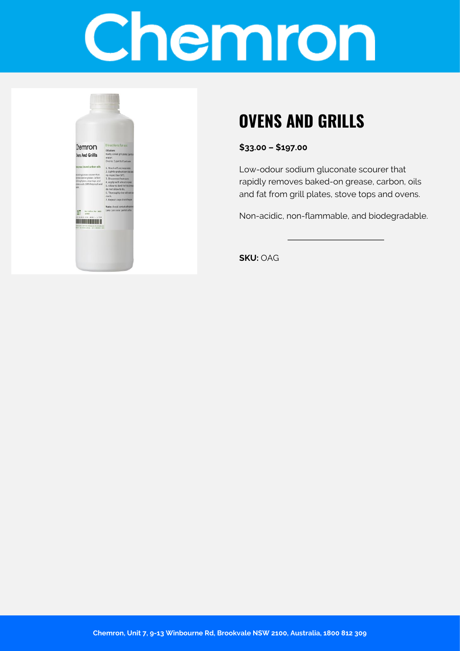# Chemron



## **OVENS AND GRILLS**

**\$33.00 – \$197.00**

Low-odour sodium gluconate scourer that rapidly removes baked-on grease, carbon, oils and fat from grill plates, stove tops and ovens.

Non-acidic, non-flammable, and biodegradable.

**SKU:** OAG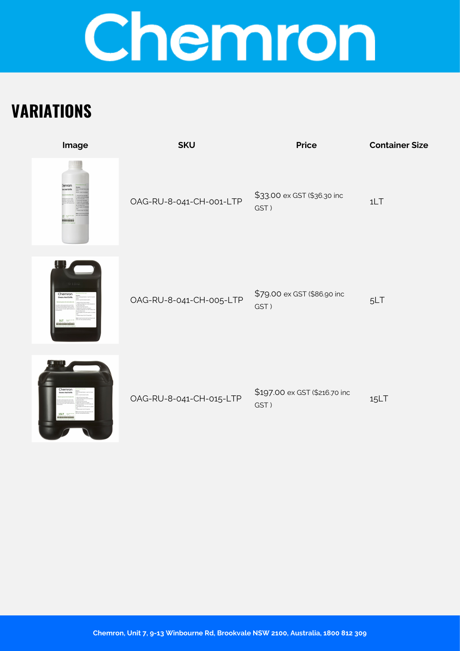# Chemron

## **VARIATIONS**



| OAG-RU-8-041-CH-001-LTP |  |
|-------------------------|--|



1LT



OAG-RU-8-041-CH-005-LTP

| \$79.00 ex GST (\$86.90 inc | 5LT |
|-----------------------------|-----|
| GST)                        |     |



OAG-RU-8-041-CH-015-LTP

\$197.00 ex GST (\$216.70 inc GST ) 15LT

**Chemron, Unit 7, 9-13 Winbourne Rd, Brookvale NSW 2100, Australia, 1800 812 309**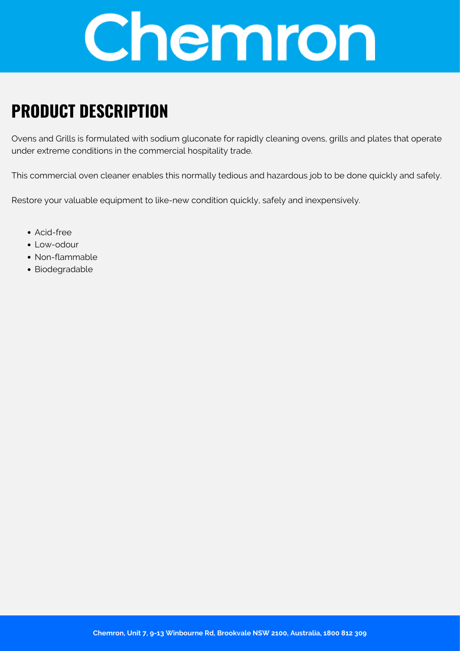

#### **PRODUCT DESCRIPTION**

Ovens and Grills is formulated with sodium gluconate for rapidly cleaning ovens, grills and plates that operate under extreme conditions in the commercial hospitality trade.

This commercial oven cleaner enables this normally tedious and hazardous job to be done quickly and safely.

Restore your valuable equipment to like-new condition quickly, safely and inexpensively.

- Acid-free
- Low-odour
- Non-flammable
- Biodegradable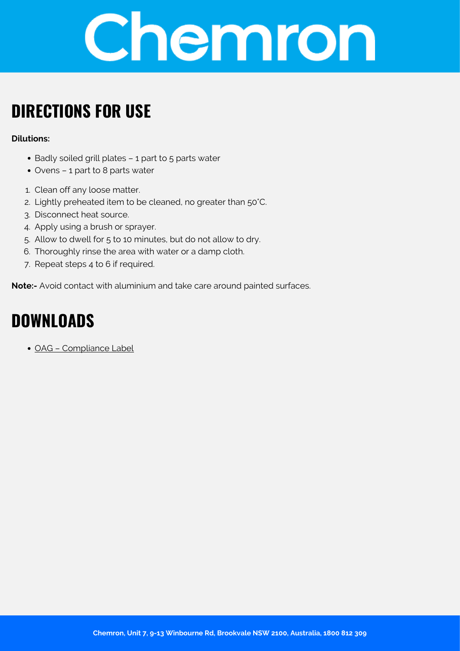

### **DIRECTIONS FOR USE**

#### **Dilutions:**

- Badly soiled grill plates 1 part to 5 parts water
- Ovens 1 part to 8 parts water
- 1. Clean off any loose matter.
- 2. Lightly preheated item to be cleaned, no greater than 50°C.
- 3. Disconnect heat source.
- 4. Apply using a brush or sprayer.
- 5. Allow to dwell for 5 to 10 minutes, but do not allow to dry.
- 6. Thoroughly rinse the area with water or a damp cloth.
- 7. Repeat steps 4 to 6 if required.

**Note:-** Avoid contact with aluminium and take care around painted surfaces.

#### **DOWNLOADS**

[OAG – Compliance Label](https://chemron.com.au/product-label/OAG - Compliance Label.pdf)